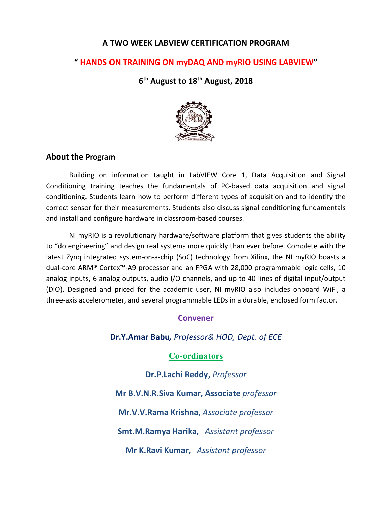## **A TWO WEEK LABVIEW CERTIFICATION PROGRAM**

## **" HANDS ON TRAINING ON myDAQ AND myRIO USING LABVIEW"**

**6th August to 18th August, 2018**



#### **About the Program**

Building on information taught in LabVIEW Core 1, Data Acquisition and Signal Conditioning training teaches the fundamentals of PC‐based data acquisition and signal conditioning. Students learn how to perform different types of acquisition and to identify the correct sensor for their measurements. Students also discuss signal conditioning fundamentals and install and configure hardware in classroom‐based courses.

NI myRIO is a revolutionary hardware/software platform that gives students the ability to "do engineering" and design real systems more quickly than ever before. Complete with the latest Zynq integrated system-on-a-chip (SoC) technology from Xilinx, the NI myRIO boasts a dual‐core ARM® Cortex™‐A9 processor and an FPGA with 28,000 programmable logic cells, 10 analog inputs, 6 analog outputs, audio I/O channels, and up to 40 lines of digital input/output (DIO). Designed and priced for the academic user, NI myRIO also includes onboard WiFi, a three‐axis accelerometer, and several programmable LEDs in a durable, enclosed form factor.

# **Convener**

**Dr.Y.Amar Babu***, Professor& HOD, Dept. of ECE*

## **Co-ordinators**

**Dr.P.Lachi Reddy,** *Professor*

**Mr B.V.N.R.Siva Kumar, Associate** *professor*

**Mr.V.V.Rama Krishna,** *Associate professor*

**Smt.M.Ramya Harika,**  *Assistant professor*

**Mr K.Ravi Kumar,**  *Assistant professor*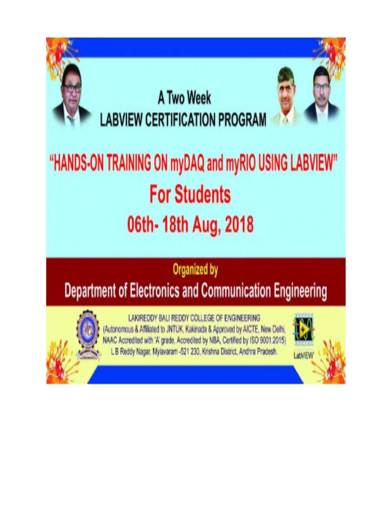

**Department of Electronics and Communication Engineering** 



LAKIREDDY BALI REDDY COLLEGE OF ENGINEERING (Autonomous & Affiliated to JNTUK, Kakinada & Approved by AICTE, New Delhi, NAAC Accredited with 'A' grade, Accredited by NBA, Certified by ISO 9001:2015) L B Reddy Nagar, Mylavaram -521 230, Krishna District, Andhra Pradesh.

LabVIEW